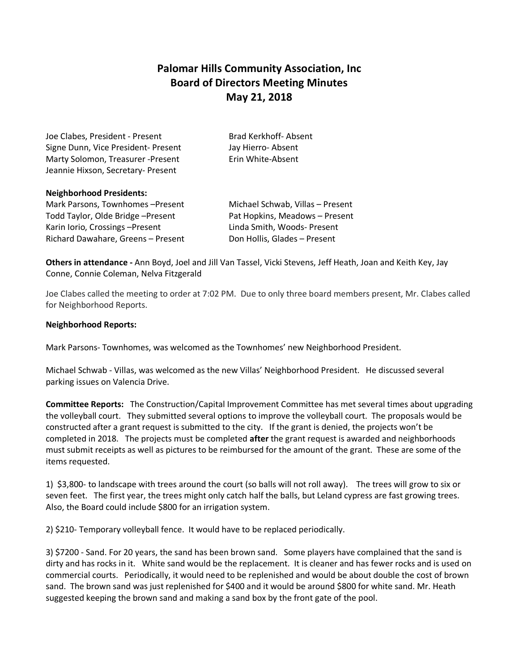## **Palomar Hills Community Association, Inc Board of Directors Meeting Minutes May 21, 2018**

Joe Clabes, President - Present Brad Kerkhoff- Absent Signe Dunn, Vice President- Present Jay Hierro- Absent Marty Solomon, Treasurer -Present Erin White-Absent Jeannie Hixson, Secretary- Present

## **Neighborhood Presidents:**

Mark Parsons, Townhomes – Present Michael Schwab, Villas – Present Todd Taylor, Olde Bridge – Present Pat Hopkins, Meadows – Present Karin Iorio, Crossings – Present Linda Smith, Woods- Present Richard Dawahare, Greens – Present Don Hollis, Glades – Present

**Others in attendance -** Ann Boyd, Joel and Jill Van Tassel, Vicki Stevens, Jeff Heath, Joan and Keith Key, Jay Conne, Connie Coleman, Nelva Fitzgerald

Joe Clabes called the meeting to order at 7:02 PM. Due to only three board members present, Mr. Clabes called for Neighborhood Reports.

## **Neighborhood Reports:**

Mark Parsons- Townhomes, was welcomed as the Townhomes' new Neighborhood President.

Michael Schwab - Villas, was welcomed as the new Villas' Neighborhood President. He discussed several parking issues on Valencia Drive.

**Committee Reports:** The Construction/Capital Improvement Committee has met several times about upgrading the volleyball court. They submitted several options to improve the volleyball court. The proposals would be constructed after a grant request is submitted to the city. If the grant is denied, the projects won't be completed in 2018. The projects must be completed **after** the grant request is awarded and neighborhoods must submit receipts as well as pictures to be reimbursed for the amount of the grant. These are some of the items requested.

1) \$3,800- to landscape with trees around the court (so balls will not roll away). The trees will grow to six or seven feet. The first year, the trees might only catch half the balls, but Leland cypress are fast growing trees. Also, the Board could include \$800 for an irrigation system.

2) \$210- Temporary volleyball fence. It would have to be replaced periodically.

3) \$7200 - Sand. For 20 years, the sand has been brown sand. Some players have complained that the sand is dirty and has rocks in it. White sand would be the replacement. It is cleaner and has fewer rocks and is used on commercial courts. Periodically, it would need to be replenished and would be about double the cost of brown sand. The brown sand was just replenished for \$400 and it would be around \$800 for white sand. Mr. Heath suggested keeping the brown sand and making a sand box by the front gate of the pool.